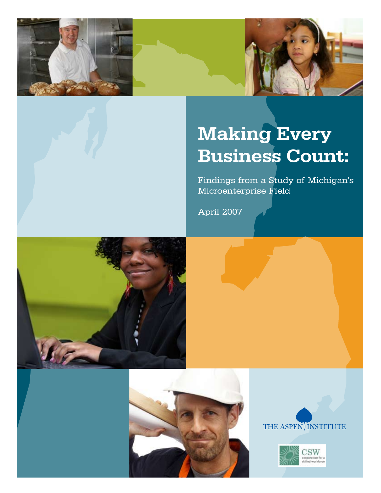



# Making Every Business Count:

Findings from a Study of Michigan's Microenterprise Field

April 2007







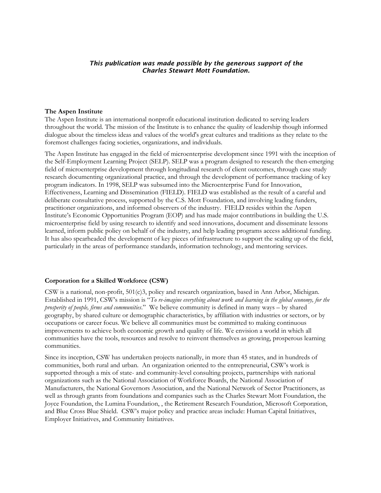#### *This publication was made possible by the generous support of the Charles Stewart Mott Foundation.*

#### **The Aspen Institute**

The Aspen Institute is an international nonprofit educational institution dedicated to serving leaders throughout the world. The mission of the Institute is to enhance the quality of leadership though informed dialogue about the timeless ideas and values of the world's great cultures and traditions as they relate to the foremost challenges facing societies, organizations, and individuals.

The Aspen Institute has engaged in the field of microenterprise development since 1991 with the inception of the Self-Employment Learning Project (SELP). SELP was a program designed to research the then-emerging field of microenterprise development through longitudinal research of client outcomes, through case study research documenting organizational practice, and through the development of performance tracking of key program indicators. In 1998, SELP was subsumed into the Microenterprise Fund for Innovation, Effectiveness, Learning and Dissemination (FIELD). FIELD was established as the result of a careful and deliberate consultative process, supported by the C.S. Mott Foundation, and involving leading funders, practitioner organizations, and informed observers of the industry. FIELD resides within the Aspen Institute's Economic Opportunities Program (EOP) and has made major contributions in building the U.S. microenterprise field by using research to identify and seed innovations, document and disseminate lessons learned, inform public policy on behalf of the industry, and help leading programs access additional funding. It has also spearheaded the development of key pieces of infrastructure to support the scaling up of the field, particularly in the areas of performance standards, information technology, and mentoring services.

#### **Corporation for a Skilled Workforce (CSW)**

CSW is a national, non-profit, 501(c)3, policy and research organization, based in Ann Arbor, Michigan. Established in 1991, CSW's mission is "*To re-imagine everything about work and learning in the global economy, for the prosperity of people, firms and communities*." We believe community is defined in many ways – by shared geography, by shared culture or demographic characteristics, by affiliation with industries or sectors, or by occupations or career focus. We believe all communities must be committed to making continuous improvements to achieve both economic growth and quality of life. We envision a world in which all communities have the tools, resources and resolve to reinvent themselves as growing, prosperous learning communities.

Since its inception, CSW has undertaken projects nationally, in more than 45 states, and in hundreds of communities, both rural and urban. An organization oriented to the entrepreneurial, CSW's work is supported through a mix of state- and community-level consulting projects, partnerships with national organizations such as the National Association of Workforce Boards, the National Association of Manufacturers, the National Governors Association, and the National Network of Sector Practitioners, as well as through grants from foundations and companies such as the Charles Stewart Mott Foundation, the Joyce Foundation, the Lumina Foundation, , the Retirement Research Foundation, Microsoft Corporation, and Blue Cross Blue Shield. CSW's major policy and practice areas include: Human Capital Initiatives, Employer Initiatives, and Community Initiatives.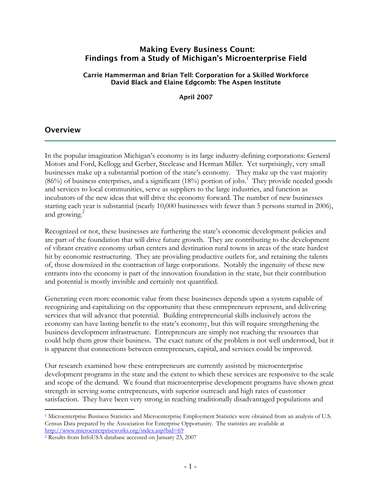## Making Every Business Count: Findings from a Study of Michigan's Microenterprise Field

Carrie Hammerman and Brian Tell: Corporation for a Skilled Workforce David Black and Elaine Edgcomb: The Aspen Institute

April 2007

## **Overview**

 $\overline{a}$ 

In the popular imagination Michigan's economy is its large industry-defining corporations: General Motors and Ford, Kellogg and Gerber, Steelcase and Herman Miller. Yet surprisingly, very small businesses make up a substantial portion of the state's economy. They make up the vast majority  $(86%)$  of business enterprises, and a significant  $(18%)$  portion of jobs.<sup>1</sup> They provide needed goods and services to local communities, serve as suppliers to the large industries, and function as incubators of the new ideas that will drive the economy forward. The number of new businesses starting each year is substantial (nearly 10,000 businesses with fewer than 5 persons started in 2006), and growing.<sup>2</sup>

Recognized or not, these businesses are furthering the state's economic development policies and are part of the foundation that will drive future growth. They are contributing to the development of vibrant creative economy urban centers and destination rural towns in areas of the state hardest hit by economic restructuring. They are providing productive outlets for, and retaining the talents of, those downsized in the contraction of large corporations. Notably the ingenuity of these new entrants into the economy is part of the innovation foundation in the state, but their contribution and potential is mostly invisible and certainly not quantified.

Generating even more economic value from these businesses depends upon a system capable of recognizing and capitalizing on the opportunity that these entrepreneurs represent, and delivering services that will advance that potential. Building entrepreneurial skills inclusively across the economy can have lasting benefit to the state's economy, but this will require strengthening the business development infrastructure. Entrepreneurs are simply not reaching the resources that could help them grow their business. The exact nature of the problem is not well understood, but it is apparent that connections between entrepreneurs, capital, and services could be improved.

Our research examined how these entrepreneurs are currently assisted by microenterprise development programs in the state and the extent to which these services are responsive to the scale and scope of the demand. We found that microenterprise development programs have shown great strength in serving some entrepreneurs, with superior outreach and high rates of customer satisfaction. They have been very strong in reaching traditionally disadvantaged populations and

<sup>1</sup> Microenterprise Business Statistics and Microenterprise Employment Statistics were obtained from an analysis of U.S. Census Data prepared by the Association for Enterprise Opportunity. The statistics are available at

http://www.microenterpriseworks.org/index.asp?bid=69<br>
<sup>2</sup> Results from InfoUSA database accessed on January 23, 2007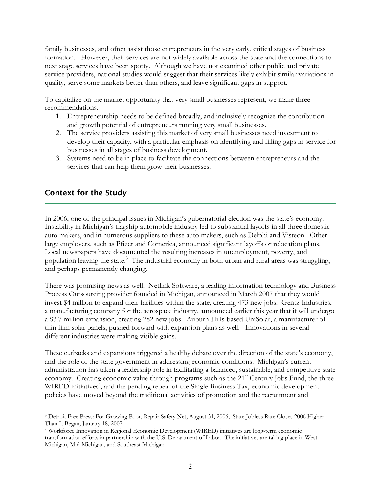family businesses, and often assist those entrepreneurs in the very early, critical stages of business formation. However, their services are not widely available across the state and the connections to next stage services have been spotty. Although we have not examined other public and private service providers, national studies would suggest that their services likely exhibit similar variations in quality, serve some markets better than others, and leave significant gaps in support.

To capitalize on the market opportunity that very small businesses represent, we make three recommendations.

- 1. Entrepreneurship needs to be defined broadly, and inclusively recognize the contribution and growth potential of entrepreneurs running very small businesses.
- 2. The service providers assisting this market of very small businesses need investment to develop their capacity, with a particular emphasis on identifying and filling gaps in service for businesses in all stages of business development.
- 3. Systems need to be in place to facilitate the connections between entrepreneurs and the services that can help them grow their businesses.

## Context for the Study

In 2006, one of the principal issues in Michigan's gubernatorial election was the state's economy. Instability in Michigan's flagship automobile industry led to substantial layoffs in all three domestic auto makers, and in numerous suppliers to these auto makers, such as Delphi and Visteon. Other large employers, such as Pfizer and Comerica, announced significant layoffs or relocation plans. Local newspapers have documented the resulting increases in unemployment, poverty, and population leaving the state.<sup>3</sup> The industrial economy in both urban and rural areas was struggling, and perhaps permanently changing.

There was promising news as well. Netlink Software, a leading information technology and Business Process Outsourcing provider founded in Michigan, announced in March 2007 that they would invest \$4 million to expand their facilities within the state, creating 473 new jobs. Gentz Industries, a manufacturing company for the aerospace industry, announced earlier this year that it will undergo a \$3.7 million expansion, creating 282 new jobs. Auburn Hills-based UniSolar, a manufacturer of thin film solar panels, pushed forward with expansion plans as well. Innovations in several different industries were making visible gains.

These cutbacks and expansions triggered a healthy debate over the direction of the state's economy, and the role of the state government in addressing economic conditions. Michigan's current administration has taken a leadership role in facilitating a balanced, sustainable, and competitive state economy. Creating economic value through programs such as the  $21<sup>st</sup>$  Century Jobs Fund, the three WIRED initiatives<sup>4</sup>, and the pending repeal of the Single Business Tax, economic development policies have moved beyond the traditional activities of promotion and the recruitment and

<sup>1</sup> 3 Detroit Free Press: For Growing Poor, Repair Safety Net, August 31, 2006; State Jobless Rate Closes 2006 Higher Than It Began, January 18, 2007<br><sup>4</sup> Workforce Innovation in Regional Economic Development (WIRED) initiatives are long-term economic

transformation efforts in partnership with the U.S. Department of Labor. The initiatives are taking place in West Michigan, Mid-Michigan, and Southeast Michigan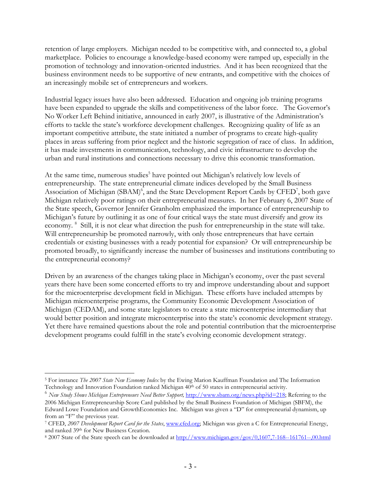retention of large employers. Michigan needed to be competitive with, and connected to, a global marketplace. Policies to encourage a knowledge-based economy were ramped up, especially in the promotion of technology and innovation-oriented industries. And it has been recognized that the business environment needs to be supportive of new entrants, and competitive with the choices of an increasingly mobile set of entrepreneurs and workers.

Industrial legacy issues have also been addressed. Education and ongoing job training programs have been expanded to upgrade the skills and competitiveness of the labor force. The Governor's No Worker Left Behind initiative, announced in early 2007, is illustrative of the Administration's efforts to tackle the state's workforce development challenges. Recognizing quality of life as an important competitive attribute, the state initiated a number of programs to create high-quality places in areas suffering from prior neglect and the historic segregation of race of class. In addition, it has made investments in communication, technology, and civic infrastructure to develop the urban and rural institutions and connections necessary to drive this economic transformation.

At the same time, numerous studies<sup>5</sup> have pointed out Michigan's relatively low levels of entrepreneurship. The state entrepreneurial climate indices developed by the Small Business Association of Michigan (SBAM)<sup>6</sup>, and the State Development Report Cards by CFED<sup>7</sup>, both gave Michigan relatively poor ratings on their entrepreneurial measures. In her February 6, 2007 State of the State speech, Governor Jennifer Granholm emphasized the importance of entrepreneurship to Michigan's future by outlining it as one of four critical ways the state must diversify and grow its economy. <sup>8</sup> Still, it is not clear what direction the push for entrepreneurship in the state will take. Will entrepreneurship be promoted narrowly, with only those entrepreneurs that have certain credentials or existing businesses with a ready potential for expansion? Or will entrepreneurship be promoted broadly, to significantly increase the number of businesses and institutions contributing to the entrepreneurial economy?

Driven by an awareness of the changes taking place in Michigan's economy, over the past several years there have been some concerted efforts to try and improve understanding about and support for the microenterprise development field in Michigan. These efforts have included attempts by Michigan microenterprise programs, the Community Economic Development Association of Michigan (CEDAM), and some state legislators to create a state microenterprise intermediary that would better position and integrate microenterprise into the state's economic development strategy. Yet there have remained questions about the role and potential contribution that the microenterprise development programs could fulfill in the state's evolving economic development strategy.

 $\overline{a}$ 5 For instance *The 2007 State New Economy Index* by the Ewing Marion Kauffman Foundation and The Information Technology and Innovation Foundation ranked Michigan 40th of 50 states in entrepreneurial activity.

<sup>&</sup>lt;sup>6</sup> New Study Shows Michigan Entrepreneurs Need Better Support, http://www.sbam.org/news.php?id=218; Referring to the

<sup>2006</sup> Michigan Entrepreneurship Score Card published by the Small Business Foundation of Michigan (SBFM), the Edward Lowe Foundation and GrowthEconomics Inc. Michigan was given a "D" for entrepreneurial dynamism, up from an "F" the previous year.

<sup>7</sup> CFED, *2007 Development Report Card for the States*, www.cfed.org; Michigan was given a C for Entrepreneurial Energy,

and ranked 39<sup>th</sup> for New Business Creation.<br>8 2007 State of the State speech can be downloaded at <u>http://www.michigan.gov/gov/0,1607,7-168--161761--,00.html</u>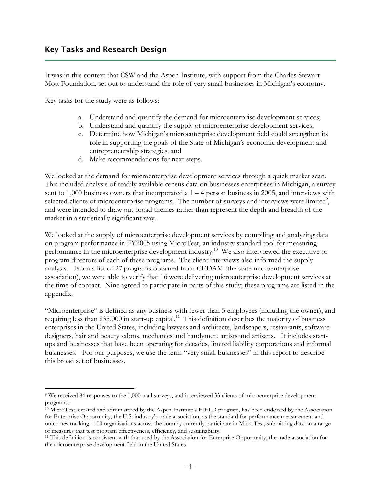It was in this context that CSW and the Aspen Institute, with support from the Charles Stewart Mott Foundation, set out to understand the role of very small businesses in Michigan's economy.

Key tasks for the study were as follows:

- a. Understand and quantify the demand for microenterprise development services;
- b. Understand and quantify the supply of microenterprise development services;
- c. Determine how Michigan's microenterprise development field could strengthen its role in supporting the goals of the State of Michigan's economic development and entrepreneurship strategies; and
- d. Make recommendations for next steps.

We looked at the demand for microenterprise development services through a quick market scan. This included analysis of readily available census data on businesses enterprises in Michigan, a survey sent to 1,000 business owners that incorporated a  $1 - 4$  person business in 2005, and interviews with selected clients of microenterprise programs. The number of surveys and interviews were limited<sup>9</sup>, and were intended to draw out broad themes rather than represent the depth and breadth of the market in a statistically significant way.

We looked at the supply of microenterprise development services by compiling and analyzing data on program performance in FY2005 using MicroTest, an industry standard tool for measuring performance in the microenterprise development industry.10 We also interviewed the executive or program directors of each of these programs. The client interviews also informed the supply analysis. From a list of 27 programs obtained from CEDAM (the state microenterprise association), we were able to verify that 16 were delivering microenterprise development services at the time of contact. Nine agreed to participate in parts of this study; these programs are listed in the appendix.

"Microenterprise" is defined as any business with fewer than 5 employees (including the owner), and requiring less than \$35,000 in start-up capital.<sup>11</sup> This definition describes the majority of business enterprises in the United States, including lawyers and architects, landscapers, restaurants, software designers, hair and beauty salons, mechanics and handymen, artists and artisans. It includes startups and businesses that have been operating for decades, limited liability corporations and informal businesses. For our purposes, we use the term "very small businesses" in this report to describe this broad set of businesses.

 $\overline{a}$ 9 We received 84 responses to the 1,000 mail surveys, and interviewed 33 clients of microenterprise development programs.

<sup>&</sup>lt;sup>10</sup> MicroTest, created and administered by the Aspen Institute's FIELD program, has been endorsed by the Association for Enterprise Opportunity, the U.S. industry's trade association, as the standard for performance measurement and outcomes tracking. 100 organizations across the country currently participate in MicroTest, submitting data on a range of measures that test program effectiveness, efficiency, and sustainability. 11 This definition is consistent with that used by the Association for Enterprise Opportunity, the trade association for

the microenterprise development field in the United States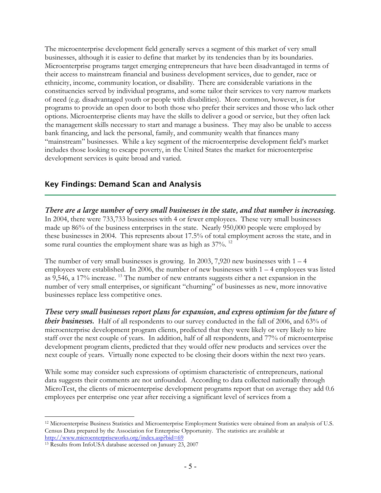The microenterprise development field generally serves a segment of this market of very small businesses, although it is easier to define that market by its tendencies than by its boundaries. Microenterprise programs target emerging entrepreneurs that have been disadvantaged in terms of their access to mainstream financial and business development services, due to gender, race or ethnicity, income, community location, or disability. There are considerable variations in the constituencies served by individual programs, and some tailor their services to very narrow markets of need (e.g. disadvantaged youth or people with disabilities). More common, however, is for programs to provide an open door to both those who prefer their services and those who lack other options. Microenterprise clients may have the skills to deliver a good or service, but they often lack the management skills necessary to start and manage a business. They may also be unable to access bank financing, and lack the personal, family, and community wealth that finances many "mainstream" businesses. While a key segment of the microenterprise development field's market includes those looking to escape poverty, in the United States the market for microenterprise development services is quite broad and varied.

## Key Findings: Demand Scan and Analysis

*There are a large number of very small businesses in the state, and that number is increasing.*  In 2004, there were 733,733 businesses with 4 or fewer employees. These very small businesses made up 86% of the business enterprises in the state. Nearly 950,000 people were employed by these businesses in 2004. This represents about 17.5% of total employment across the state, and in some rural counties the employment share was as high as  $37\%$ . <sup>12</sup>

The number of very small businesses is growing. In 2003, 7,920 new businesses with  $1 - 4$ employees were established. In 2006, the number of new businesses with 1 – 4 employees was listed as 9,546, a 17% increase. 13 The number of new entrants suggests either a net expansion in the number of very small enterprises, or significant "churning" of businesses as new, more innovative businesses replace less competitive ones.

*These very small businesses report plans for expansion, and express optimism for the future of their businesses.* Half of all respondents to our survey conducted in the fall of 2006, and 63% of microenterprise development program clients, predicted that they were likely or very likely to hire staff over the next couple of years. In addition, half of all respondents, and 77% of microenterprise development program clients, predicted that they would offer new products and services over the next couple of years. Virtually none expected to be closing their doors within the next two years.

While some may consider such expressions of optimism characteristic of entrepreneurs, national data suggests their comments are not unfounded. According to data collected nationally through MicroTest, the clients of microenterprise development programs report that on average they add 0.6 employees per enterprise one year after receiving a significant level of services from a

 $\overline{a}$ 12 Microenterprise Business Statistics and Microenterprise Employment Statistics were obtained from an analysis of U.S. Census Data prepared by the Association for Enterprise Opportunity. The statistics are available at

http://www.microenterpriseworks.org/index.asp?bid=69<br><sup>13</sup> Results from InfoUSA database accessed on January 23, 2007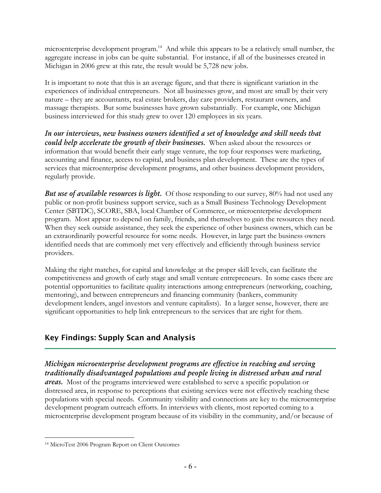microenterprise development program.<sup>14</sup> And while this appears to be a relatively small number, the aggregate increase in jobs can be quite substantial. For instance, if all of the businesses created in Michigan in 2006 grew at this rate, the result would be 5,728 new jobs.

It is important to note that this is an average figure, and that there is significant variation in the experiences of individual entrepreneurs. Not all businesses grow, and most are small by their very nature – they are accountants, real estate brokers, day care providers, restaurant owners, and massage therapists. But some businesses have grown substantially. For example, one Michigan business interviewed for this study grew to over 120 employees in six years.

*In our interviews, new business owners identified a set of knowledge and skill needs that could help accelerate the growth of their businesses.* When asked about the resources or information that would benefit their early stage venture, the top four responses were marketing, accounting and finance, access to capital, and business plan development. These are the types of services that microenterprise development programs, and other business development providers, regularly provide.

*But use of available resources is light.* Of those responding to our survey, 80% had not used any public or non-profit business support service, such as a Small Business Technology Development Center (SBTDC), SCORE, SBA, local Chamber of Commerce, or microenterprise development program. Most appear to depend on family, friends, and themselves to gain the resources they need. When they seek outside assistance, they seek the experience of other business owners, which can be an extraordinarily powerful resource for some needs. However, in large part the business owners identified needs that are commonly met very effectively and efficiently through business service providers.

Making the right matches, for capital and knowledge at the proper skill levels, can facilitate the competitiveness and growth of early stage and small venture entrepreneurs. In some cases there are potential opportunities to facilitate quality interactions among entrepreneurs (networking, coaching, mentoring), and between entrepreneurs and financing community (bankers, community development lenders, angel investors and venture capitalists). In a larger sense, however, there are significant opportunities to help link entrepreneurs to the services that are right for them.

# Key Findings: Supply Scan and Analysis

## *Michigan microenterprise development programs are effective in reaching and serving traditionally disadvantaged populations and people living in distressed urban and rural*

*areas.* Most of the programs interviewed were established to serve a specific population or distressed area, in response to perceptions that existing services were not effectively reaching these populations with special needs. Community visibility and connections are key to the microenterprise development program outreach efforts. In interviews with clients, most reported coming to a microenterprise development program because of its visibility in the community, and/or because of

<sup>1</sup> 14 MicroTest 2006 Program Report on Client Outcomes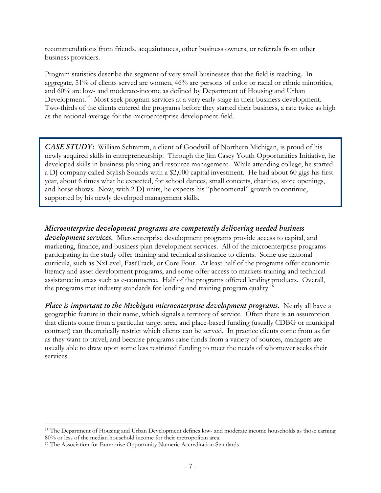recommendations from friends, acquaintances, other business owners, or referrals from other business providers.

Program statistics describe the segment of very small businesses that the field is reaching. In aggregate, 51% of clients served are women, 46% are persons of color or racial or ethnic minorities, and 60% are low- and moderate-income as defined by Department of Housing and Urban Development.<sup>15</sup> Most seek program services at a very early stage in their business development. Two-thirds of the clients entered the programs before they started their business, a rate twice as high as the national average for the microenterprise development field.

*CASE STUDY:* William Schramm, a client of Goodwill of Northern Michigan, is proud of his newly acquired skills in entrepreneurship. Through the Jim Casey Youth Opportunities Initiative, he developed skills in business planning and resource management. While attending college, he started a DJ company called Stylish Sounds with a \$2,000 capital investment. He had about 60 gigs his first year, about 6 times what he expected, for school dances, small concerts, charities, store openings, and horse shows. Now, with 2 DJ units, he expects his "phenomenal" growth to continue, supported by his newly developed management skills.

*Microenterprise development programs are competently delivering needed business development services.* Microenterprise development programs provide access to capital, and marketing, finance, and business plan development services. All of the microenterprise programs participating in the study offer training and technical assistance to clients. Some use national curricula, such as NxLevel, FastTrack, or Core Four. At least half of the programs offer economic literacy and asset development programs, and some offer access to markets training and technical assistance in areas such as e-commerce. Half of the programs offered lending products. Overall, the programs met industry standards for lending and training program quality.16

*Place is important to the Michigan microenterprise development programs.* Nearly all have a geographic feature in their name, which signals a territory of service. Often there is an assumption that clients come from a particular target area, and place-based funding (usually CDBG or municipal contract) can theoretically restrict which clients can be served. In practice clients come from as far as they want to travel, and because programs raise funds from a variety of sources, managers are usually able to draw upon some less restricted funding to meet the needs of whomever seeks their services.

 $\overline{a}$ 

<sup>&</sup>lt;sup>15</sup> The Department of Housing and Urban Development defines low- and moderate income households as those earning 80% or less of the median household income for their metropolitan area. 16 The Association for Enterprise Opportunity Numeric Accreditation Standards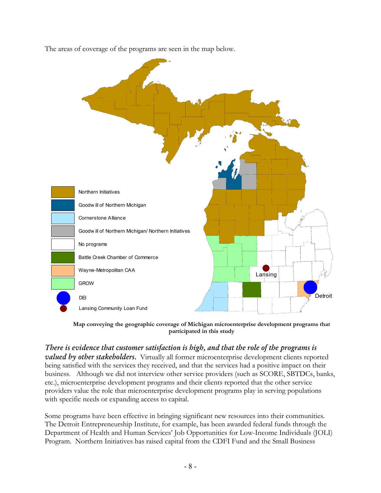The areas of coverage of the programs are seen in the map below.



**Map conveying the geographic coverage of Michigan microenterprise development programs that participated in this study** 

*There is evidence that customer satisfaction is high, and that the role of the programs is valued by other stakeholders.* Virtually all former microenterprise development clients reported being satisfied with the services they received, and that the services had a positive impact on their business. Although we did not interview other service providers (such as SCORE, SBTDCs, banks, etc.), microenterprise development programs and their clients reported that the other service providers value the role that microenterprise development programs play in serving populations with specific needs or expanding access to capital.

Some programs have been effective in bringing significant new resources into their communities. The Detroit Entrepreneurship Institute, for example, has been awarded federal funds through the Department of Health and Human Services' Job Opportunities for Low-Income Individuals (JOLI) Program. Northern Initiatives has raised capital from the CDFI Fund and the Small Business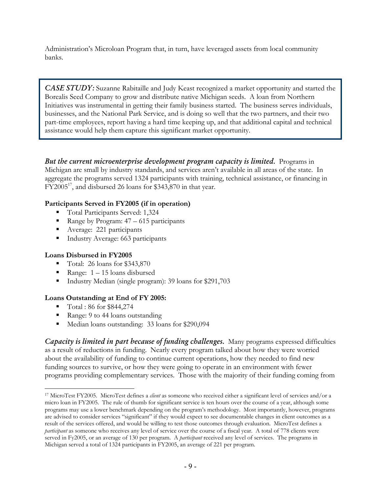Administration's Microloan Program that, in turn, have leveraged assets from local community banks.

*CASE STUDY:* Suzanne Rabitaille and Judy Keast recognized a market opportunity and started the Borealis Seed Company to grow and distribute native Michigan seeds. A loan from Northern Initiatives was instrumental in getting their family business started. The business serves individuals, businesses, and the National Park Service, and is doing so well that the two partners, and their two part-time employees, report having a hard time keeping up, and that additional capital and technical assistance would help them capture this significant market opportunity.

*But the current microenterprise development program capacity is limited.* Programs in Michigan are small by industry standards, and services aren't available in all areas of the state. In aggregate the programs served 1324 participants with training, technical assistance, or financing in  $FY2005^{17}$ , and disbursed 26 loans for \$343,870 in that year.

## **Participants Served in FY2005 (if in operation)**

- Total Participants Served: 1,324
- Range by Program:  $47 615$  participants
- Average: 221 participants
- Industry Average: 663 participants

## **Loans Disbursed in FY2005**

- $\blacksquare$  Total: 26 loans for \$343,870
- Range:  $1 15$  loans disbursed
- Industry Median (single program): 39 loans for \$291,703

## **Loans Outstanding at End of FY 2005:**

- Total : 86 for \$844,274
- Range: 9 to 44 loans outstanding
- Median loans outstanding: 33 loans for \$290,094

*Capacity is limited in part because of funding challenges.* Many programs expressed difficulties as a result of reductions in funding. Nearly every program talked about how they were worried about the availability of funding to continue current operations, how they needed to find new funding sources to survive, or how they were going to operate in an environment with fewer programs providing complementary services. Those with the majority of their funding coming from

<sup>1</sup> 17 MicroTest FY2005. MicroTest defines a *client* as someone who received either a significant level of services and/or a micro loan in FY2005. The rule of thumb for significant service is ten hours over the course of a year, although some programs may use a lower benchmark depending on the program's methodology. Most importantly, however, programs are advised to consider services "significant" if they would expect to see documentable changes in client outcomes as a result of the services offered, and would be willing to test those outcomes through evaluation. MicroTest defines a *participant* as someone who receives any level of service over the course of a fiscal year. A total of 778 clients were served in Fy2005, or an average of 130 per program. A *participant* received any level of services. The programs in Michigan served a total of 1324 participants in FY2005, an average of 221 per program.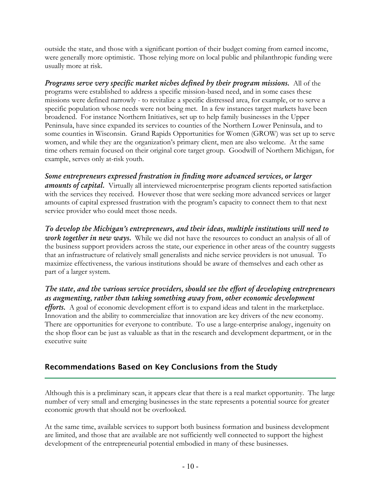outside the state, and those with a significant portion of their budget coming from earned income, were generally more optimistic. Those relying more on local public and philanthropic funding were usually more at risk.

*Programs serve very specific market niches defined by their program missions.* All of the programs were established to address a specific mission-based need, and in some cases these missions were defined narrowly - to revitalize a specific distressed area, for example, or to serve a specific population whose needs were not being met. In a few instances target markets have been broadened. For instance Northern Initiatives, set up to help family businesses in the Upper Peninsula, have since expanded its services to counties of the Northern Lower Peninsula, and to some counties in Wisconsin. Grand Rapids Opportunities for Women (GROW) was set up to serve women, and while they are the organization's primary client, men are also welcome. At the same time others remain focused on their original core target group. Goodwill of Northern Michigan, for example, serves only at-risk youth.

*Some entrepreneurs expressed frustration in finding more advanced services, or larger amounts of capital.* Virtually all interviewed microenterprise program clients reported satisfaction with the services they received. However those that were seeking more advanced services or larger amounts of capital expressed frustration with the program's capacity to connect them to that next service provider who could meet those needs.

*To develop the Michigan's entrepreneurs, and their ideas, multiple institutions will need to work together in new ways.* While we did not have the resources to conduct an analysis of all of the business support providers across the state, our experience in other areas of the country suggests that an infrastructure of relatively small generalists and niche service providers is not unusual. To maximize effectiveness, the various institutions should be aware of themselves and each other as part of a larger system.

# *The state, and the various service providers, should see the effort of developing entrepreneurs as augmenting, rather than taking something away from, other economic development*

*efforts.* A goal of economic development effort is to expand ideas and talent in the marketplace. Innovation and the ability to commercialize that innovation are key drivers of the new economy. There are opportunities for everyone to contribute. To use a large-enterprise analogy, ingenuity on the shop floor can be just as valuable as that in the research and development department, or in the executive suite

# Recommendations Based on Key Conclusions from the Study

Although this is a preliminary scan, it appears clear that there is a real market opportunity. The large number of very small and emerging businesses in the state represents a potential source for greater economic growth that should not be overlooked.

At the same time, available services to support both business formation and business development are limited, and those that are available are not sufficiently well connected to support the highest development of the entrepreneurial potential embodied in many of these businesses.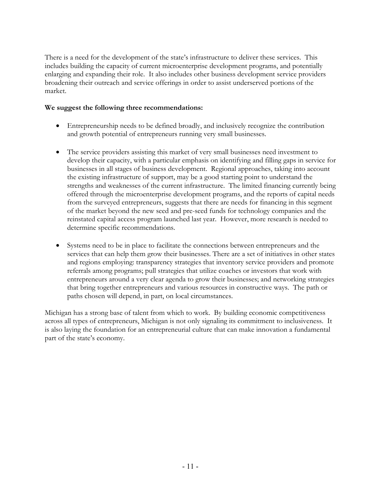There is a need for the development of the state's infrastructure to deliver these services. This includes building the capacity of current microenterprise development programs, and potentially enlarging and expanding their role. It also includes other business development service providers broadening their outreach and service offerings in order to assist underserved portions of the market.

## **We suggest the following three recommendations:**

- Entrepreneurship needs to be defined broadly, and inclusively recognize the contribution and growth potential of entrepreneurs running very small businesses.
- The service providers assisting this market of very small businesses need investment to develop their capacity, with a particular emphasis on identifying and filling gaps in service for businesses in all stages of business development. Regional approaches, taking into account the existing infrastructure of support, may be a good starting point to understand the strengths and weaknesses of the current infrastructure. The limited financing currently being offered through the microenterprise development programs, and the reports of capital needs from the surveyed entrepreneurs, suggests that there are needs for financing in this segment of the market beyond the new seed and pre-seed funds for technology companies and the reinstated capital access program launched last year. However, more research is needed to determine specific recommendations.
- Systems need to be in place to facilitate the connections between entrepreneurs and the services that can help them grow their businesses. There are a set of initiatives in other states and regions employing: transparency strategies that inventory service providers and promote referrals among programs; pull strategies that utilize coaches or investors that work with entrepreneurs around a very clear agenda to grow their businesses; and networking strategies that bring together entrepreneurs and various resources in constructive ways. The path or paths chosen will depend, in part, on local circumstances.

Michigan has a strong base of talent from which to work. By building economic competitiveness across all types of entrepreneurs, Michigan is not only signaling its commitment to inclusiveness. It is also laying the foundation for an entrepreneurial culture that can make innovation a fundamental part of the state's economy.